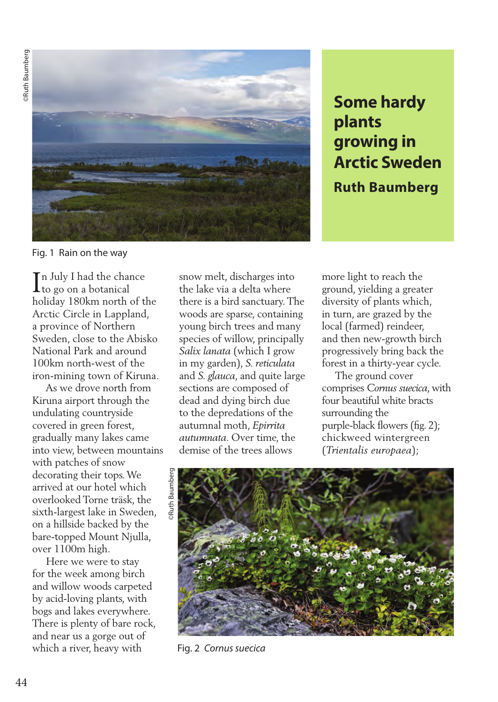**ORuth Baumberg** ©Ruth Baumberg



**Some hardy plants growing in Arctic Sweden Ruth Baumberg**

Fig. 1 Rain on the way

In July I had the chance<br>to go on a botanical  $\mathbf 1$ to go on a botanical holiday 180km north of the Arctic Circle in Lappland, a province of Northern Sweden, close to the Abisko National Park and around 100km north-west of the iron-mining town of Kiruna.

 As we drove north from Kiruna airport through the undulating countryside covered in green forest, gradually many lakes came into view, between mountains with patches of snow decorating their tops. We arrived at our hotel which overlooked Torne träsk, the sixth-largest lake in Sweden, on a hillside backed by the bare-topped Mount Njulla, over 1100m high.

 Here we were to stay for the week among birch and willow woods carpeted by acid-loving plants, with bogs and lakes everywhere. There is plenty of bare rock, and near us a gorge out of which a river, heavy with

snow melt, discharges into the lake via a delta where there is a bird sanctuary. The woods are sparse, containing young birch trees and many species of willow, principally *Salix lanata* (which I grow in my garden), *S. reticulata* and *S. glauca*, and quite large sections are composed of dead and dying birch due to the depredations of the autumnal moth, *Epirrita autumnata*. Over time, the demise of the trees allows

more light to reach the ground, yielding a greater diversity of plants which, in turn, are grazed by the local (farmed) reindeer, and then new-growth birch progressively bring back the forest in a thirty-year cycle.

 The ground cover comprises *Cornus suecica*, with four beautiful white bracts surrounding the purple-black flowers (fig. 2); chickweed wintergreen (*Trientalis europaea*);



Fig. 2 *Cornus suecica*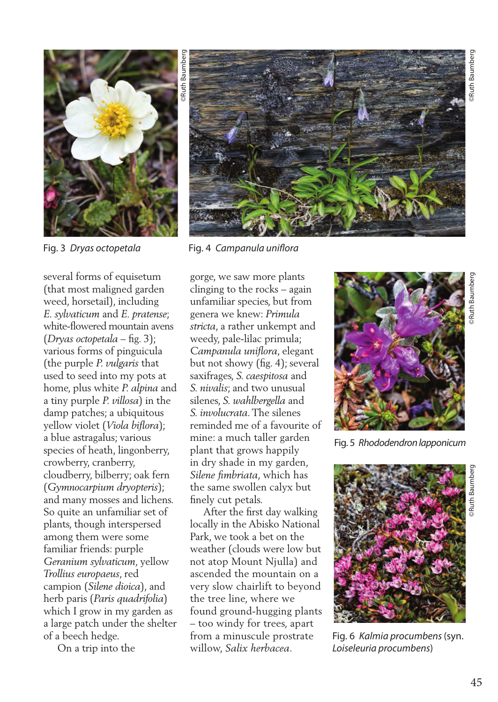

several forms of equisetum (that most maligned garden weed, horsetail), including *E. sylvaticum* and *E. pratense*; white-flowered mountain avens (*Dryas octopetala* – fig. 3); various forms of pinguicula (the purple *P. vulgaris* that used to seed into my pots at home, plus white *P. alpina* and a tiny purple *P. villosa*) in the damp patches; a ubiquitous yellow violet (*Viola biflora*); a blue astragalus; various species of heath, lingonberry, crowberry, cranberry, cloudberry, bilberry; oak fern (*Gymnocarpium dryopteris*); and many mosses and lichens. So quite an unfamiliar set of plants, though interspersed among them were some familiar friends: purple *Geranium sylvaticum*, yellow *Trollius europaeus*, red campion (*Silene dioica*), and herb paris (*Paris quadrifolia*) which I grow in my garden as a large patch under the shelter of a beech hedge.

On a trip into the



Fig. 3 *Dryas octopetala* Fig. 4 *Campanula uniflora*

gorge, we saw more plants clinging to the rocks – again unfamiliar species, but from genera we knew: *Primula stricta*, a rather unkempt and weedy, pale-lilac primula; *Campanula uniflora*, elegant but not showy (fig. 4); several saxifrages, *S. caespitosa* and *S. nivalis*; and two unusual silenes, *S. wahlbergella* and *S. involucrata*. The silenes reminded me of a favourite of mine: a much taller garden plant that grows happily in dry shade in my garden, *Silene fimbriata*, which has the same swollen calyx but finely cut petals.

 After the first day walking locally in the Abisko National Park, we took a bet on the weather (clouds were low but not atop Mount Njulla) and ascended the mountain on a very slow chairlift to beyond the tree line, where we found ground-hugging plants – too windy for trees, apart from a minuscule prostrate willow, *Salix herbacea*.



Fig. 5 *Rhododendron lapponicum*



Fig. 6 *Kalmia procumbens* (syn. *Loiseleuria procumbens*)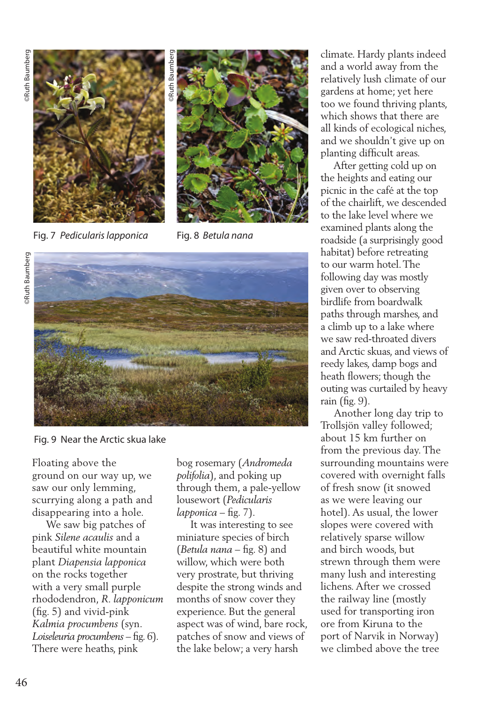

Fig. 7 *Pedicularis lapponica* Fig. 8 *Betula nana*







Fig. 9 Near the Arctic skua lake

Floating above the ground on our way up, we saw our only lemming, scurrying along a path and disappearing into a hole.

 We saw big patches of pink *Silene acaulis* and a beautiful white mountain plant *Diapensia lapponica* on the rocks together with a very small purple rhododendron, *R. lapponicum*  (fig. 5) and vivid-pink *Kalmia procumbens* (syn. *Loiseleuria procumbens* – fig. 6). There were heaths, pink

bog rosemary (*Andromeda polifolia*), and poking up through them, a pale-yellow lousewort (*Pedicularis lapponica* – fig. 7).

 It was interesting to see miniature species of birch (*Betula nana* – fig. 8) and willow, which were both very prostrate, but thriving despite the strong winds and months of snow cover they experience. But the general aspect was of wind, bare rock, patches of snow and views of the lake below; a very harsh

climate. Hardy plants indeed and a world away from the relatively lush climate of our gardens at home; yet here too we found thriving plants, which shows that there are all kinds of ecological niches, and we shouldn't give up on planting difficult areas.

 After getting cold up on the heights and eating our picnic in the café at the top of the chairlift, we descended to the lake level where we examined plants along the roadside (a surprisingly good habitat) before retreating to our warm hotel. The following day was mostly given over to observing birdlife from boardwalk paths through marshes, and a climb up to a lake where we saw red-throated divers and Arctic skuas, and views of reedy lakes, damp bogs and heath flowers; though the outing was curtailed by heavy rain (fig. 9).

 Another long day trip to Trollsjön valley followed; about 15 km further on from the previous day. The surrounding mountains were covered with overnight falls of fresh snow (it snowed as we were leaving our hotel). As usual, the lower slopes were covered with relatively sparse willow and birch woods, but strewn through them were many lush and interesting lichens. After we crossed the railway line (mostly used for transporting iron ore from Kiruna to the port of Narvik in Norway) we climbed above the tree